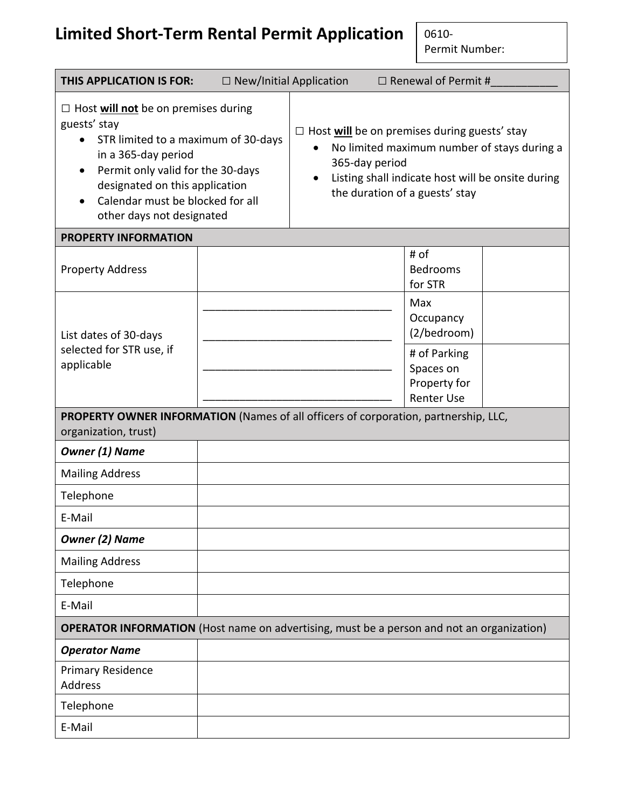# **Limited Short-Term Rental Permit Application**

0610- Permit Number:

| <b>THIS APPLICATION IS FOR:</b>                                                                                                                                                                                                                                               | $\Box$ New/Initial Application |                                                                                                                                                                                                             |  | $\Box$ Renewal of Permit #                      |  |
|-------------------------------------------------------------------------------------------------------------------------------------------------------------------------------------------------------------------------------------------------------------------------------|--------------------------------|-------------------------------------------------------------------------------------------------------------------------------------------------------------------------------------------------------------|--|-------------------------------------------------|--|
| $\Box$ Host will not be on premises during<br>guests' stay<br>STR limited to a maximum of 30-days<br>in a 365-day period<br>Permit only valid for the 30-days<br>$\bullet$<br>designated on this application<br>Calendar must be blocked for all<br>other days not designated |                                | $\Box$ Host will be on premises during guests' stay<br>No limited maximum number of stays during a<br>365-day period<br>Listing shall indicate host will be onsite during<br>the duration of a guests' stay |  |                                                 |  |
| <b>PROPERTY INFORMATION</b>                                                                                                                                                                                                                                                   |                                |                                                                                                                                                                                                             |  |                                                 |  |
| <b>Property Address</b>                                                                                                                                                                                                                                                       |                                |                                                                                                                                                                                                             |  | # of<br><b>Bedrooms</b><br>for STR              |  |
| List dates of 30-days<br>selected for STR use, if<br>applicable                                                                                                                                                                                                               |                                |                                                                                                                                                                                                             |  | Max<br>Occupancy<br>(2/bedroom)<br># of Parking |  |
|                                                                                                                                                                                                                                                                               |                                |                                                                                                                                                                                                             |  | Spaces on<br>Property for<br><b>Renter Use</b>  |  |
| PROPERTY OWNER INFORMATION (Names of all officers of corporation, partnership, LLC,<br>organization, trust)                                                                                                                                                                   |                                |                                                                                                                                                                                                             |  |                                                 |  |
| <b>Owner (1) Name</b>                                                                                                                                                                                                                                                         |                                |                                                                                                                                                                                                             |  |                                                 |  |
| <b>Mailing Address</b>                                                                                                                                                                                                                                                        |                                |                                                                                                                                                                                                             |  |                                                 |  |
| Telephone                                                                                                                                                                                                                                                                     |                                |                                                                                                                                                                                                             |  |                                                 |  |
| E-Mail                                                                                                                                                                                                                                                                        |                                |                                                                                                                                                                                                             |  |                                                 |  |
| <b>Owner (2) Name</b>                                                                                                                                                                                                                                                         |                                |                                                                                                                                                                                                             |  |                                                 |  |
| <b>Mailing Address</b>                                                                                                                                                                                                                                                        |                                |                                                                                                                                                                                                             |  |                                                 |  |
| Telephone                                                                                                                                                                                                                                                                     |                                |                                                                                                                                                                                                             |  |                                                 |  |
| E-Mail                                                                                                                                                                                                                                                                        |                                |                                                                                                                                                                                                             |  |                                                 |  |
| <b>OPERATOR INFORMATION</b> (Host name on advertising, must be a person and not an organization)                                                                                                                                                                              |                                |                                                                                                                                                                                                             |  |                                                 |  |
| <b>Operator Name</b>                                                                                                                                                                                                                                                          |                                |                                                                                                                                                                                                             |  |                                                 |  |
| <b>Primary Residence</b><br><b>Address</b>                                                                                                                                                                                                                                    |                                |                                                                                                                                                                                                             |  |                                                 |  |
| Telephone                                                                                                                                                                                                                                                                     |                                |                                                                                                                                                                                                             |  |                                                 |  |
| E-Mail                                                                                                                                                                                                                                                                        |                                |                                                                                                                                                                                                             |  |                                                 |  |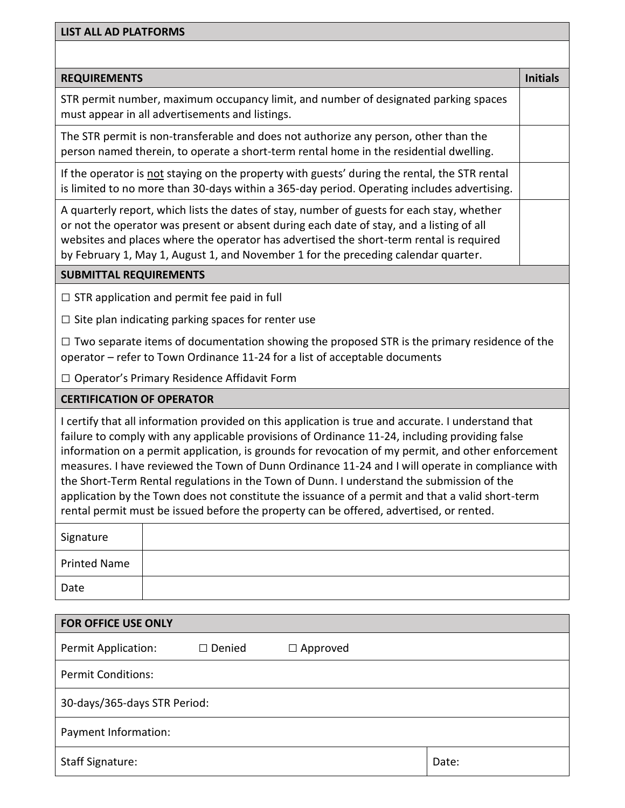| <b>LIST ALL AD PLATFORMS</b>                                                                                                                                                                                                                                                                                                                                                                                    |                 |  |  |  |
|-----------------------------------------------------------------------------------------------------------------------------------------------------------------------------------------------------------------------------------------------------------------------------------------------------------------------------------------------------------------------------------------------------------------|-----------------|--|--|--|
|                                                                                                                                                                                                                                                                                                                                                                                                                 |                 |  |  |  |
| <b>REQUIREMENTS</b>                                                                                                                                                                                                                                                                                                                                                                                             | <b>Initials</b> |  |  |  |
| STR permit number, maximum occupancy limit, and number of designated parking spaces<br>must appear in all advertisements and listings.                                                                                                                                                                                                                                                                          |                 |  |  |  |
| The STR permit is non-transferable and does not authorize any person, other than the<br>person named therein, to operate a short-term rental home in the residential dwelling.                                                                                                                                                                                                                                  |                 |  |  |  |
| If the operator is not staying on the property with guests' during the rental, the STR rental<br>is limited to no more than 30-days within a 365-day period. Operating includes advertising.                                                                                                                                                                                                                    |                 |  |  |  |
| A quarterly report, which lists the dates of stay, number of guests for each stay, whether<br>or not the operator was present or absent during each date of stay, and a listing of all<br>websites and places where the operator has advertised the short-term rental is required<br>by February 1, May 1, August 1, and November 1 for the preceding calendar quarter.                                         |                 |  |  |  |
| <b>SUBMITTAL REQUIREMENTS</b>                                                                                                                                                                                                                                                                                                                                                                                   |                 |  |  |  |
| $\Box$ STR application and permit fee paid in full                                                                                                                                                                                                                                                                                                                                                              |                 |  |  |  |
| $\Box$ Site plan indicating parking spaces for renter use                                                                                                                                                                                                                                                                                                                                                       |                 |  |  |  |
| $\Box$ Two separate items of documentation showing the proposed STR is the primary residence of the<br>operator - refer to Town Ordinance 11-24 for a list of acceptable documents                                                                                                                                                                                                                              |                 |  |  |  |
| □ Operator's Primary Residence Affidavit Form                                                                                                                                                                                                                                                                                                                                                                   |                 |  |  |  |
| <b>CERTIFICATION OF OPERATOR</b>                                                                                                                                                                                                                                                                                                                                                                                |                 |  |  |  |
| I certify that all information provided on this application is true and accurate. I understand that<br>failure to comply with any applicable provisions of Ordinance 11-24, including providing false<br>information on a permit application, is grounds for revocation of my permit, and other enforcement<br>measures. I have reviewed the Town of Dunn Ordinance 11-24 and I will operate in compliance with |                 |  |  |  |

application by the Town does not constitute the issuance of a permit and that a valid short-term rental permit must be issued before the property can be offered, advertised, or rented.

the Short-Term Rental regulations in the Town of Dunn. I understand the submission of the

| Signature           |  |
|---------------------|--|
| <b>Printed Name</b> |  |
| Date                |  |

| <b>FOR OFFICE USE ONLY</b>   |               |                 |       |  |
|------------------------------|---------------|-----------------|-------|--|
| <b>Permit Application:</b>   | $\Box$ Denied | $\Box$ Approved |       |  |
| <b>Permit Conditions:</b>    |               |                 |       |  |
| 30-days/365-days STR Period: |               |                 |       |  |
| Payment Information:         |               |                 |       |  |
| <b>Staff Signature:</b>      |               |                 | Date: |  |